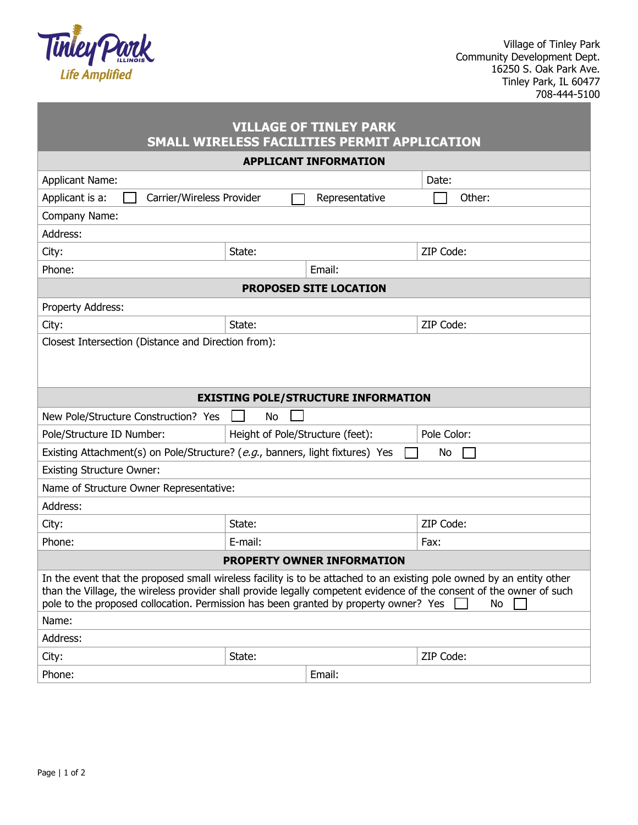

| <b>VILLAGE OF TINLEY PARK</b><br>SMALL WIRELESS FACILITIES PERMIT APPLICATION                                                                                                                                                                                                                                                               |         |                |             |  |
|---------------------------------------------------------------------------------------------------------------------------------------------------------------------------------------------------------------------------------------------------------------------------------------------------------------------------------------------|---------|----------------|-------------|--|
| <b>APPLICANT INFORMATION</b>                                                                                                                                                                                                                                                                                                                |         |                |             |  |
| <b>Applicant Name:</b>                                                                                                                                                                                                                                                                                                                      |         |                | Date:       |  |
| Applicant is a:<br>Carrier/Wireless Provider                                                                                                                                                                                                                                                                                                |         | Representative | Other:      |  |
| Company Name:                                                                                                                                                                                                                                                                                                                               |         |                |             |  |
| Address:                                                                                                                                                                                                                                                                                                                                    |         |                |             |  |
| City:                                                                                                                                                                                                                                                                                                                                       | State:  |                | ZIP Code:   |  |
| Phone:                                                                                                                                                                                                                                                                                                                                      | Email:  |                |             |  |
| <b>PROPOSED SITE LOCATION</b>                                                                                                                                                                                                                                                                                                               |         |                |             |  |
| Property Address:                                                                                                                                                                                                                                                                                                                           |         |                |             |  |
| City:                                                                                                                                                                                                                                                                                                                                       | State:  |                | ZIP Code:   |  |
| Closest Intersection (Distance and Direction from):                                                                                                                                                                                                                                                                                         |         |                |             |  |
| <b>EXISTING POLE/STRUCTURE INFORMATION</b>                                                                                                                                                                                                                                                                                                  |         |                |             |  |
| New Pole/Structure Construction? Yes                                                                                                                                                                                                                                                                                                        | No      |                |             |  |
| Pole/Structure ID Number:<br>Height of Pole/Structure (feet):                                                                                                                                                                                                                                                                               |         |                | Pole Color: |  |
| Existing Attachment(s) on Pole/Structure? (e.g., banners, light fixtures) Yes<br>No                                                                                                                                                                                                                                                         |         |                |             |  |
| <b>Existing Structure Owner:</b>                                                                                                                                                                                                                                                                                                            |         |                |             |  |
| Name of Structure Owner Representative:                                                                                                                                                                                                                                                                                                     |         |                |             |  |
| Address:                                                                                                                                                                                                                                                                                                                                    |         |                |             |  |
| City:                                                                                                                                                                                                                                                                                                                                       | State:  |                | ZIP Code:   |  |
| Phone:                                                                                                                                                                                                                                                                                                                                      | E-mail: |                | Fax:        |  |
| <b>PROPERTY OWNER INFORMATION</b>                                                                                                                                                                                                                                                                                                           |         |                |             |  |
| In the event that the proposed small wireless facility is to be attached to an existing pole owned by an entity other<br>than the Village, the wireless provider shall provide legally competent evidence of the consent of the owner of such<br>pole to the proposed collocation. Permission has been granted by property owner? Yes<br>No |         |                |             |  |
| Name:                                                                                                                                                                                                                                                                                                                                       |         |                |             |  |
| Address:                                                                                                                                                                                                                                                                                                                                    |         |                |             |  |
| City:                                                                                                                                                                                                                                                                                                                                       | State:  |                | ZIP Code:   |  |
| Phone:                                                                                                                                                                                                                                                                                                                                      |         | Email:         |             |  |